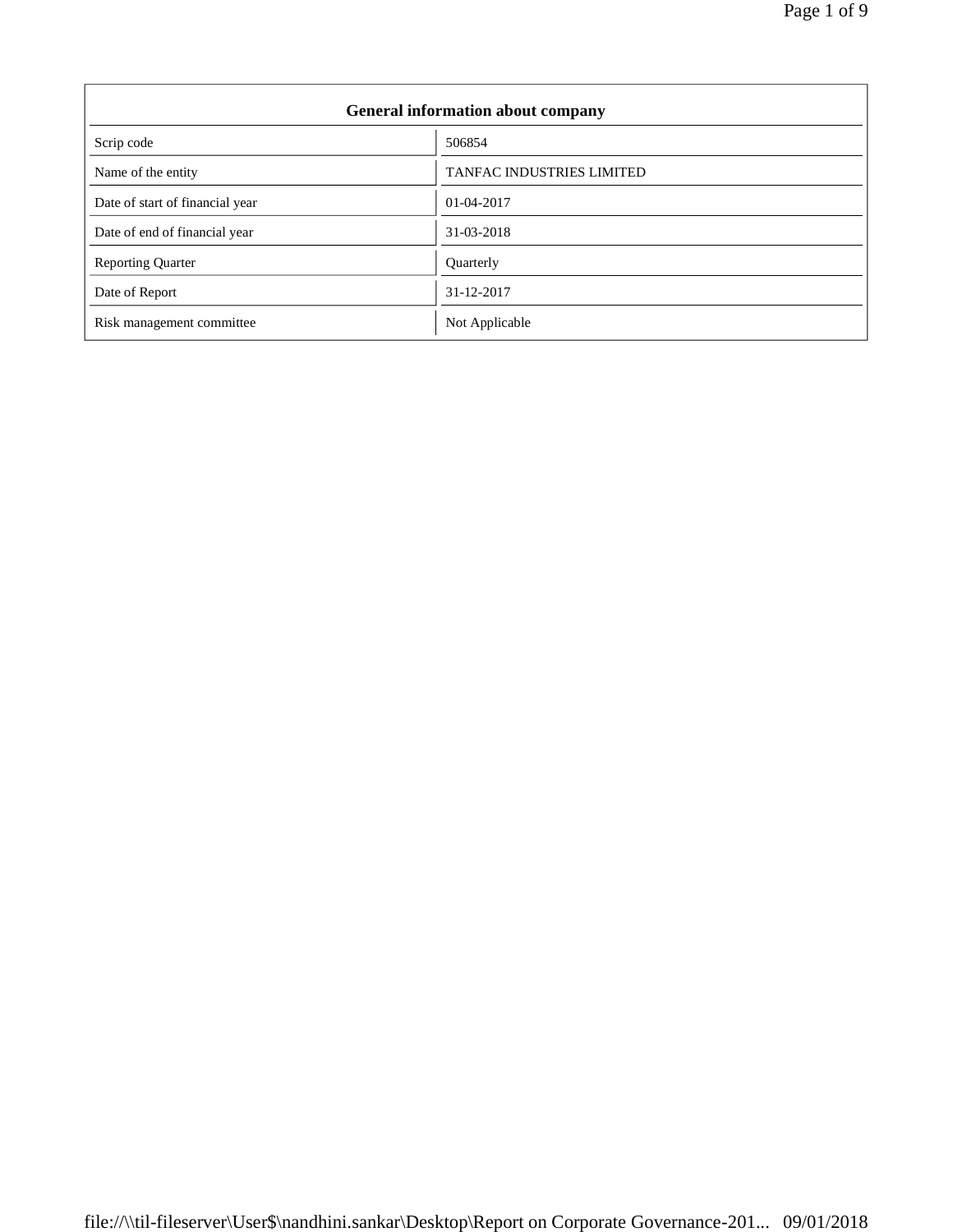| <b>General information about company</b> |                                  |  |
|------------------------------------------|----------------------------------|--|
| Scrip code                               | 506854                           |  |
| Name of the entity                       | <b>TANFAC INDUSTRIES LIMITED</b> |  |
| Date of start of financial year          | $01-04-2017$                     |  |
| Date of end of financial year            | 31-03-2018                       |  |
| <b>Reporting Quarter</b>                 | Quarterly                        |  |
| Date of Report                           | 31-12-2017                       |  |
| Risk management committee                | Not Applicable                   |  |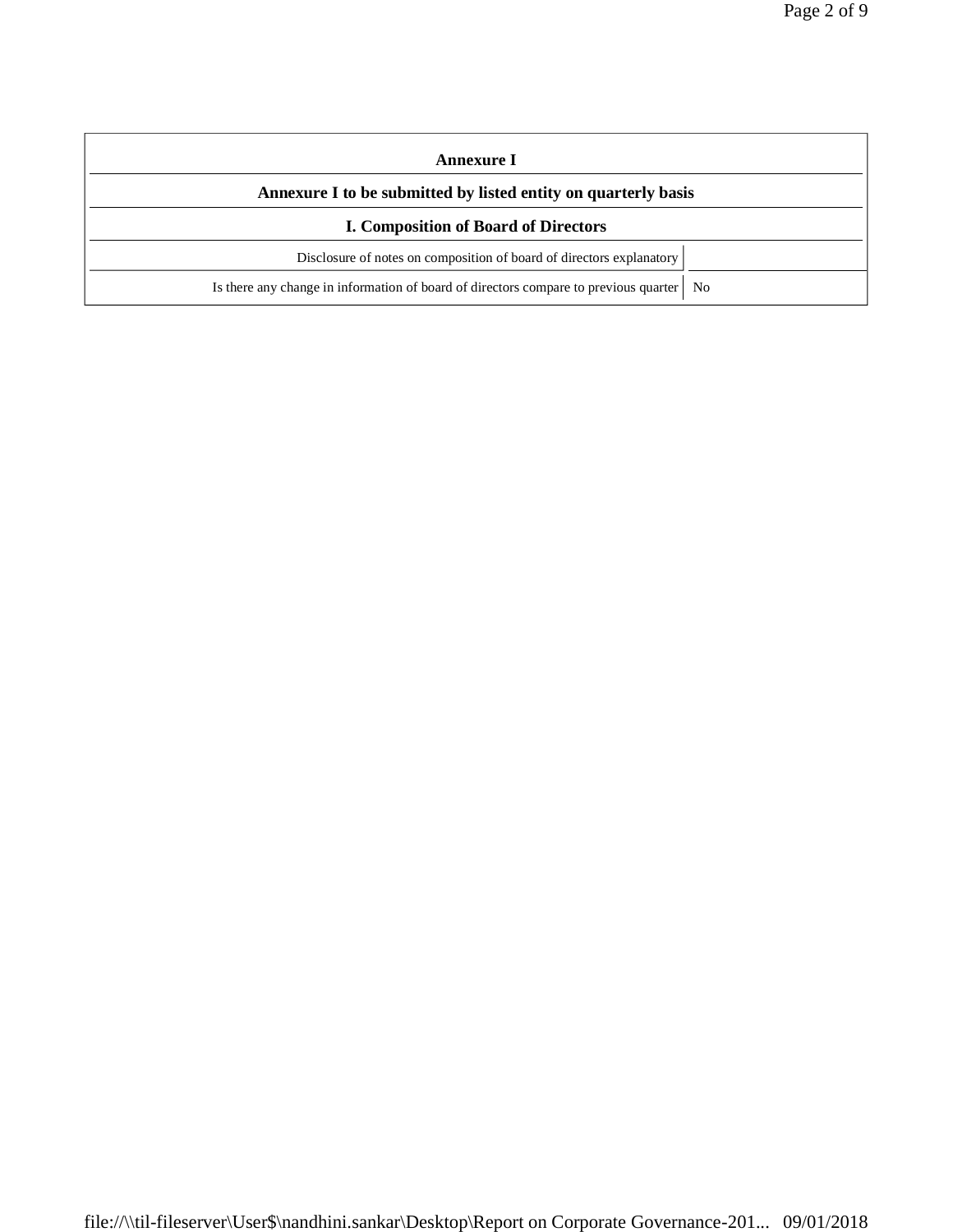| Annexure I                                                                                 |  |  |
|--------------------------------------------------------------------------------------------|--|--|
| Annexure I to be submitted by listed entity on quarterly basis                             |  |  |
| <b>I. Composition of Board of Directors</b>                                                |  |  |
| Disclosure of notes on composition of board of directors explanatory                       |  |  |
| Is there any change in information of board of directors compare to previous quarter<br>No |  |  |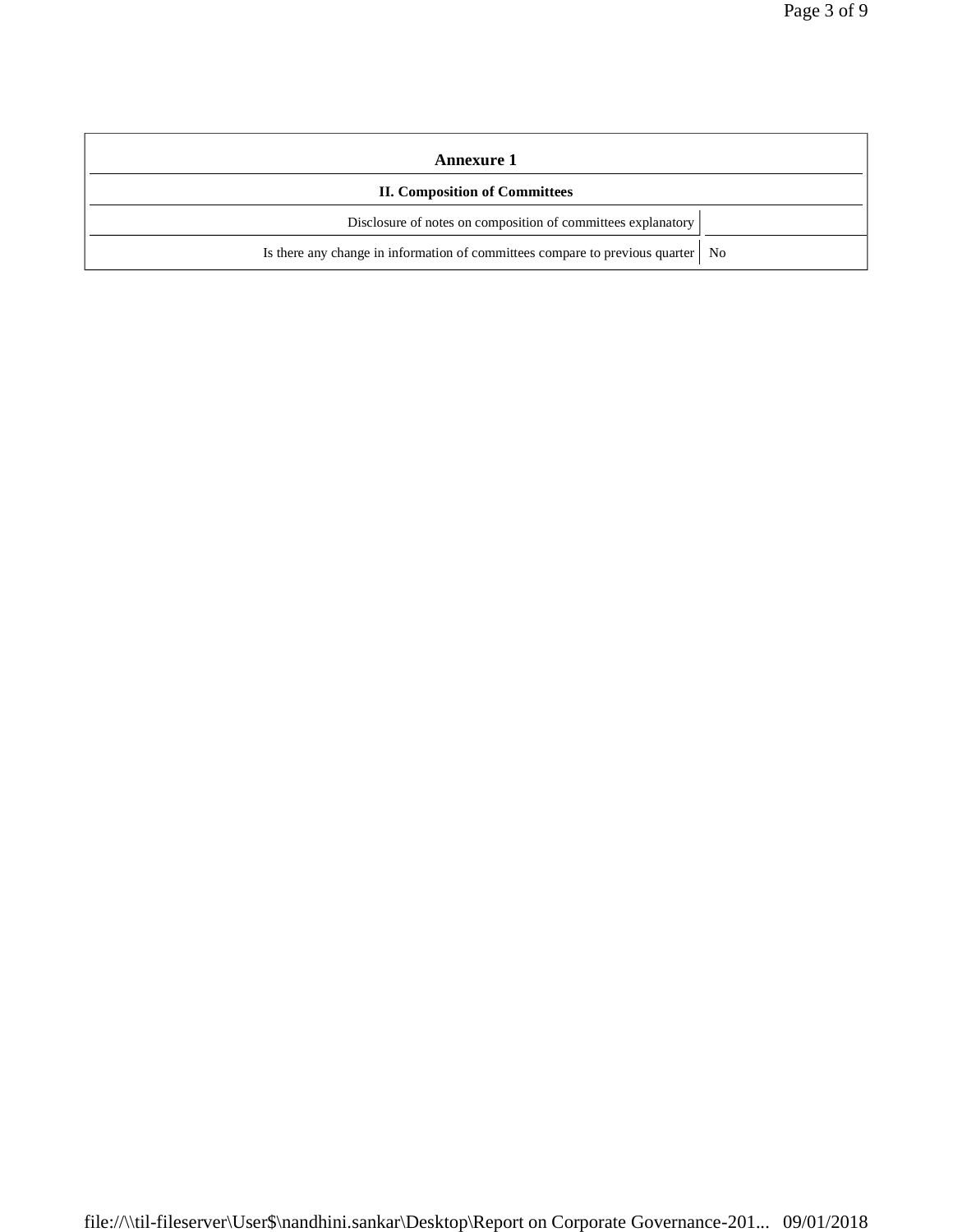| Annexure 1                                                                        |  |  |
|-----------------------------------------------------------------------------------|--|--|
| <b>II. Composition of Committees</b>                                              |  |  |
| Disclosure of notes on composition of committees explanatory                      |  |  |
| Is there any change in information of committees compare to previous quarter   No |  |  |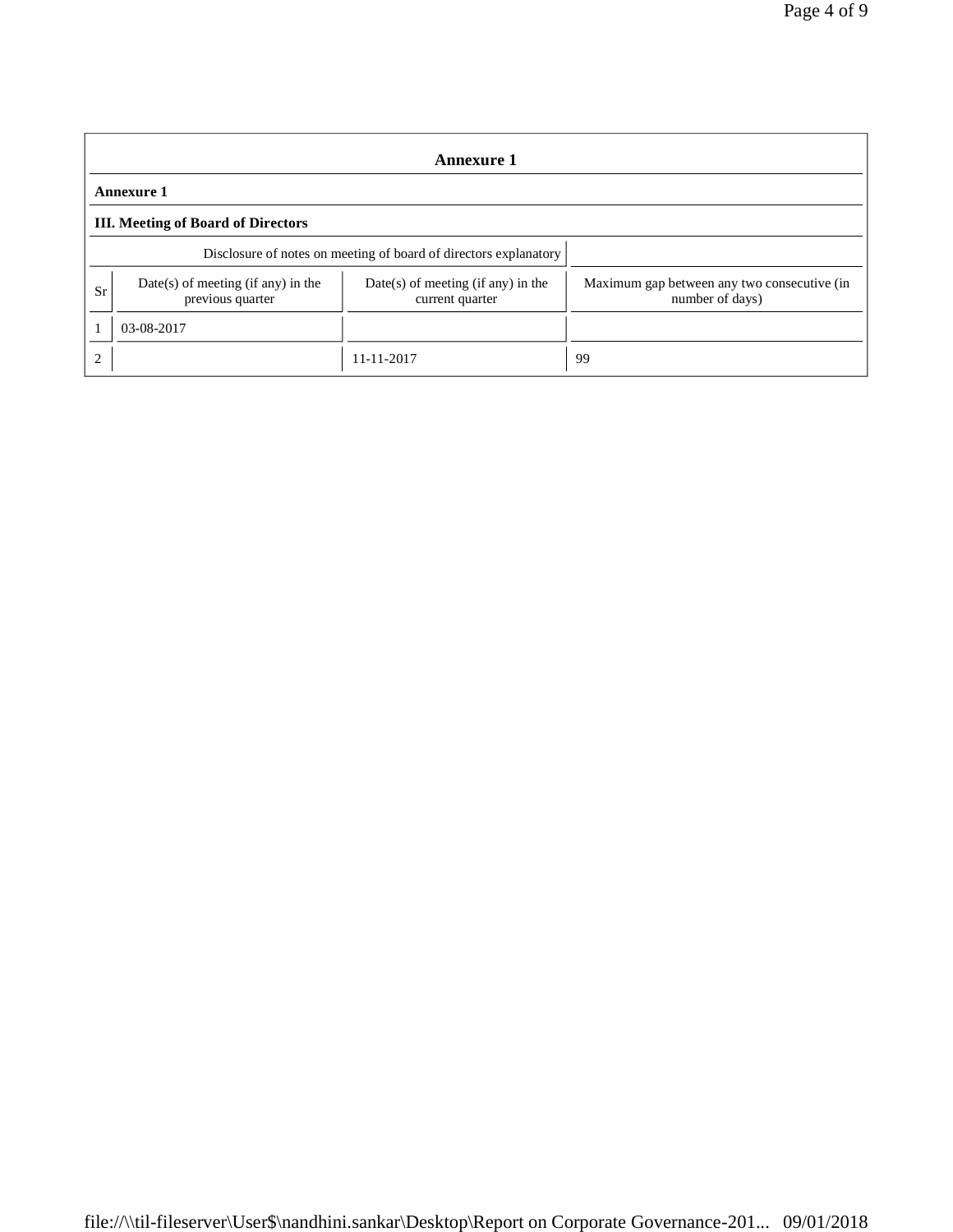| <b>Annexure 1</b> |                                                                  |                                                         |                                                                |  |  |
|-------------------|------------------------------------------------------------------|---------------------------------------------------------|----------------------------------------------------------------|--|--|
|                   | <b>Annexure 1</b>                                                |                                                         |                                                                |  |  |
|                   | <b>III.</b> Meeting of Board of Directors                        |                                                         |                                                                |  |  |
|                   | Disclosure of notes on meeting of board of directors explanatory |                                                         |                                                                |  |  |
| Sr                | $Date(s)$ of meeting (if any) in the<br>previous quarter         | $Date(s)$ of meeting (if any) in the<br>current quarter | Maximum gap between any two consecutive (in<br>number of days) |  |  |
|                   | 03-08-2017                                                       |                                                         |                                                                |  |  |
|                   |                                                                  | 11-11-2017                                              | 99                                                             |  |  |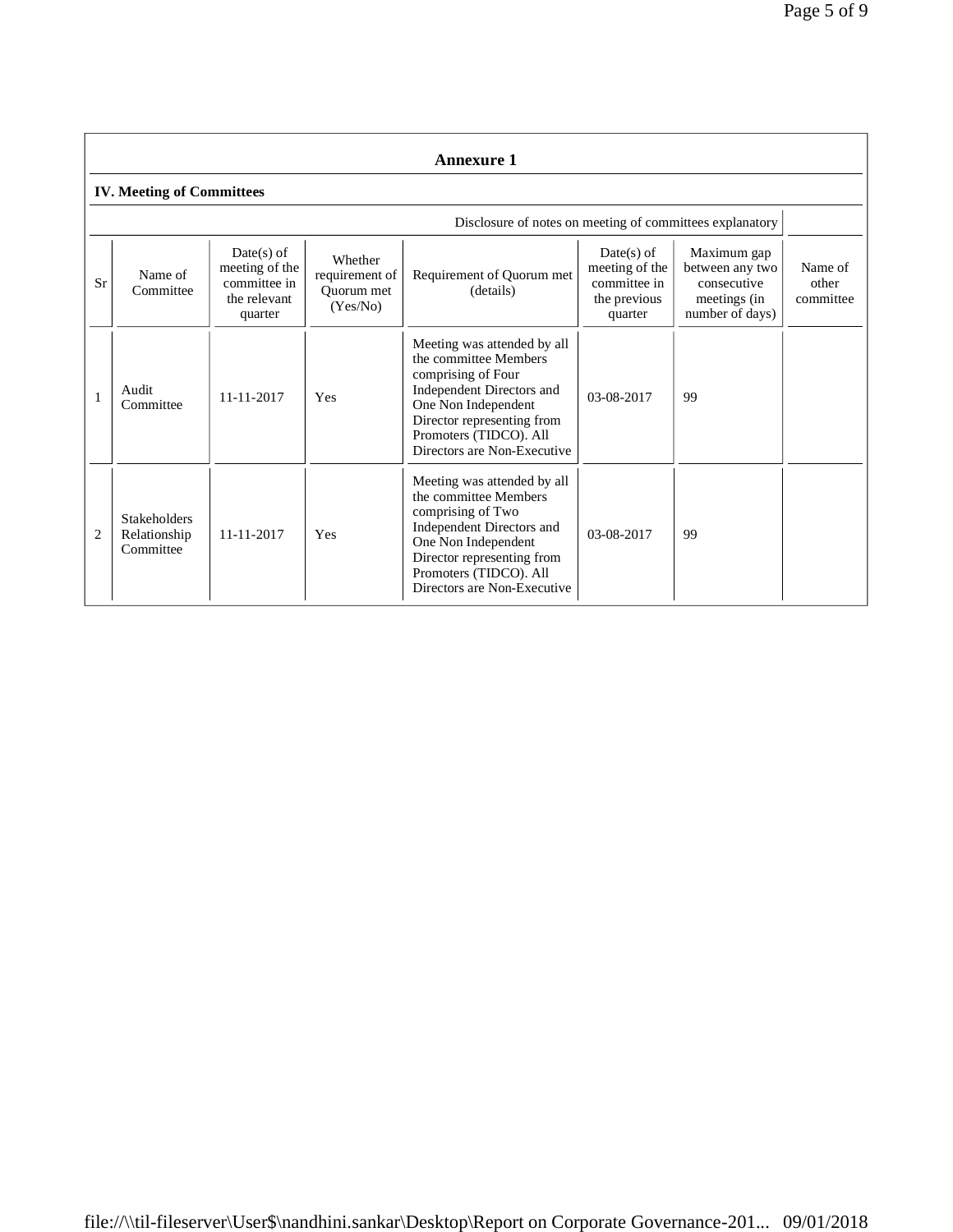| <b>Annexure 1</b> |                                                  |                                                                           |                                                     |                                                                                                                                                                                                                       |                                                                           |                                                                                  |                               |
|-------------------|--------------------------------------------------|---------------------------------------------------------------------------|-----------------------------------------------------|-----------------------------------------------------------------------------------------------------------------------------------------------------------------------------------------------------------------------|---------------------------------------------------------------------------|----------------------------------------------------------------------------------|-------------------------------|
|                   | <b>IV. Meeting of Committees</b>                 |                                                                           |                                                     |                                                                                                                                                                                                                       |                                                                           |                                                                                  |                               |
|                   |                                                  |                                                                           |                                                     | Disclosure of notes on meeting of committees explanatory                                                                                                                                                              |                                                                           |                                                                                  |                               |
| Sr                | Name of<br>Committee                             | $Date(s)$ of<br>meeting of the<br>committee in<br>the relevant<br>quarter | Whether<br>requirement of<br>Quorum met<br>(Yes/No) | Requirement of Quorum met<br>(details)                                                                                                                                                                                | $Date(s)$ of<br>meeting of the<br>committee in<br>the previous<br>quarter | Maximum gap<br>between any two<br>consecutive<br>meetings (in<br>number of days) | Name of<br>other<br>committee |
|                   | Audit<br>Committee                               | 11-11-2017                                                                | Yes                                                 | Meeting was attended by all<br>the committee Members<br>comprising of Four<br>Independent Directors and<br>One Non Independent<br>Director representing from<br>Promoters (TIDCO). All<br>Directors are Non-Executive | 03-08-2017                                                                | 99                                                                               |                               |
| $\overline{2}$    | <b>Stakeholders</b><br>Relationship<br>Committee | 11-11-2017                                                                | Yes                                                 | Meeting was attended by all<br>the committee Members<br>comprising of Two<br>Independent Directors and<br>One Non Independent<br>Director representing from<br>Promoters (TIDCO). All<br>Directors are Non-Executive  | 03-08-2017                                                                | 99                                                                               |                               |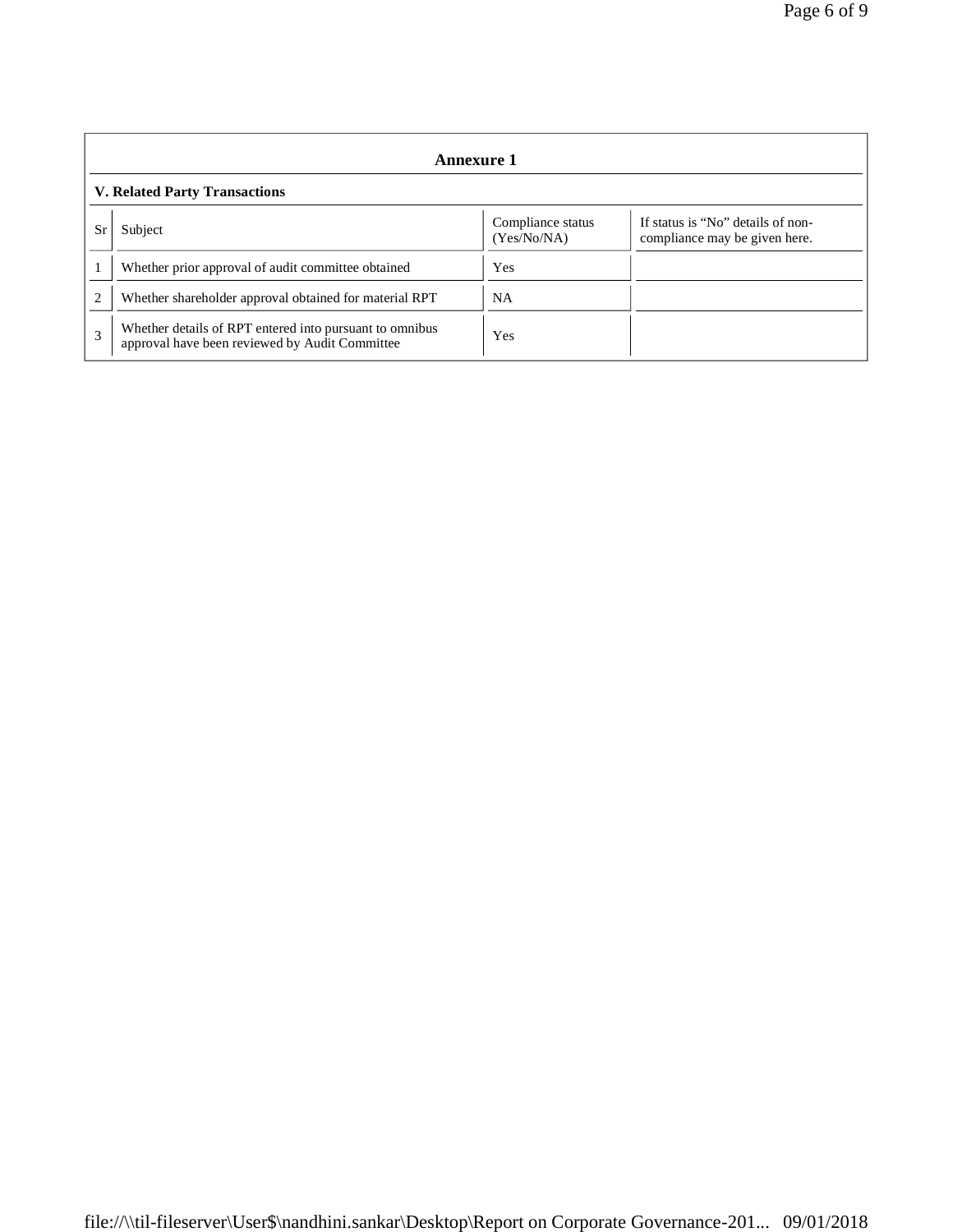|                                      | Annexure 1                                                                                                |                                  |                                                                    |  |
|--------------------------------------|-----------------------------------------------------------------------------------------------------------|----------------------------------|--------------------------------------------------------------------|--|
| <b>V. Related Party Transactions</b> |                                                                                                           |                                  |                                                                    |  |
| Sr                                   | Subject                                                                                                   | Compliance status<br>(Yes/No/NA) | If status is "No" details of non-<br>compliance may be given here. |  |
|                                      | Whether prior approval of audit committee obtained                                                        | Yes                              |                                                                    |  |
| $\overline{c}$                       | Whether shareholder approval obtained for material RPT                                                    | <b>NA</b>                        |                                                                    |  |
| 3                                    | Whether details of RPT entered into pursuant to omnibus<br>approval have been reviewed by Audit Committee | Yes                              |                                                                    |  |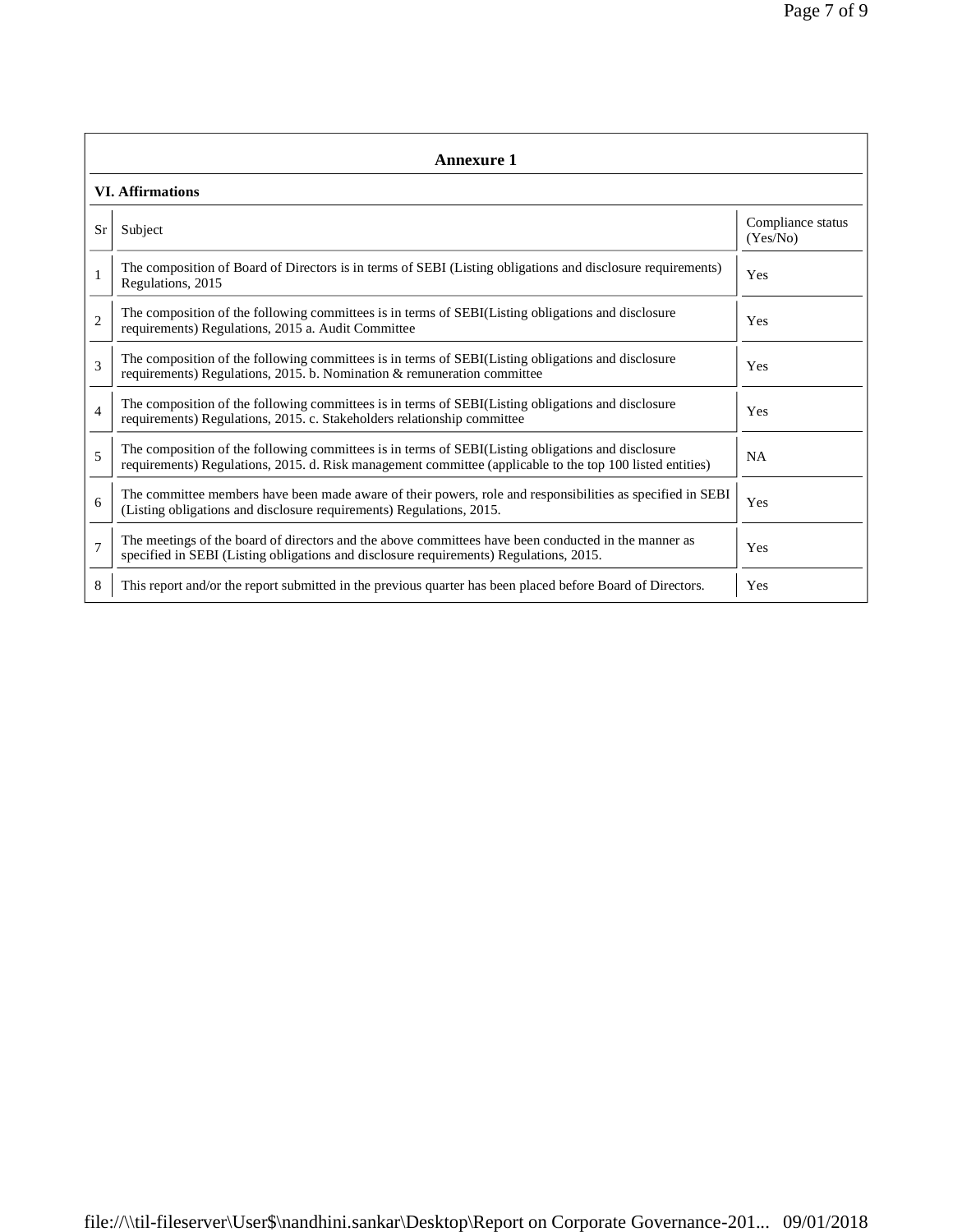|                | Annexure 1                                                                                                                                                                                                      |                               |  |  |  |
|----------------|-----------------------------------------------------------------------------------------------------------------------------------------------------------------------------------------------------------------|-------------------------------|--|--|--|
|                | <b>VI. Affirmations</b>                                                                                                                                                                                         |                               |  |  |  |
| Sr             | Subject                                                                                                                                                                                                         | Compliance status<br>(Yes/No) |  |  |  |
| $\mathbf{1}$   | The composition of Board of Directors is in terms of SEBI (Listing obligations and disclosure requirements)<br>Regulations, 2015                                                                                | Yes                           |  |  |  |
| $\overline{2}$ | The composition of the following committees is in terms of SEBI(Listing obligations and disclosure<br>requirements) Regulations, 2015 a. Audit Committee                                                        | Yes                           |  |  |  |
| 3              | The composition of the following committees is in terms of SEBI(Listing obligations and disclosure<br>requirements) Regulations, 2015. b. Nomination & remuneration committee                                   | Yes                           |  |  |  |
| $\overline{4}$ | The composition of the following committees is in terms of SEBI(Listing obligations and disclosure<br>requirements) Regulations, 2015. c. Stakeholders relationship committee                                   | Yes                           |  |  |  |
| 5              | The composition of the following committees is in terms of SEBI(Listing obligations and disclosure<br>requirements) Regulations, 2015. d. Risk management committee (applicable to the top 100 listed entities) | <b>NA</b>                     |  |  |  |
| 6              | The committee members have been made aware of their powers, role and responsibilities as specified in SEBI<br>(Listing obligations and disclosure requirements) Regulations, 2015.                              | Yes                           |  |  |  |
| $\overline{7}$ | The meetings of the board of directors and the above committees have been conducted in the manner as<br>specified in SEBI (Listing obligations and disclosure requirements) Regulations, 2015.                  | Yes                           |  |  |  |
| 8              | This report and/or the report submitted in the previous quarter has been placed before Board of Directors.                                                                                                      | Yes                           |  |  |  |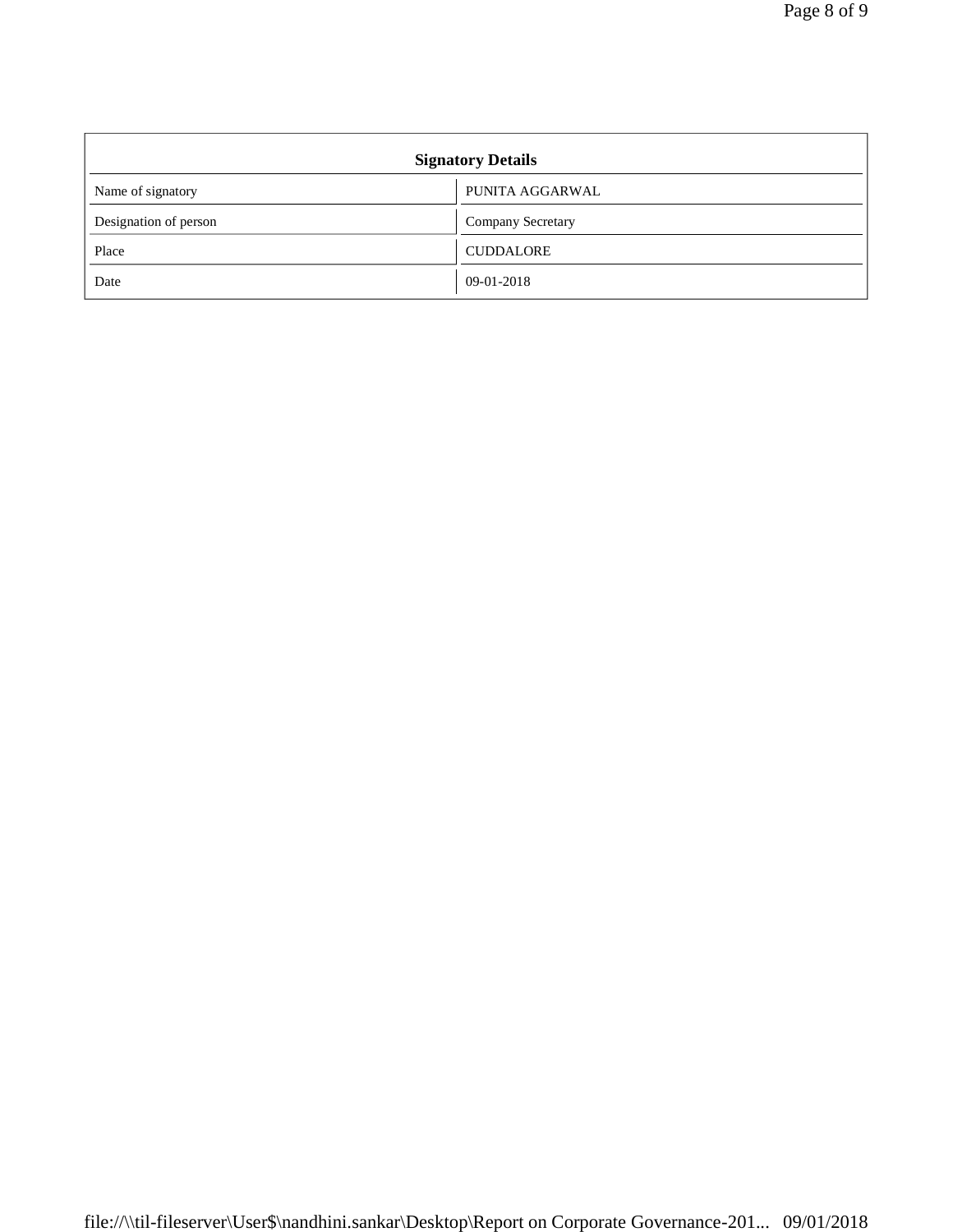| <b>Signatory Details</b> |                   |  |
|--------------------------|-------------------|--|
| Name of signatory        | PUNITA AGGARWAL   |  |
| Designation of person    | Company Secretary |  |
| Place                    | <b>CUDDALORE</b>  |  |
| Date                     | 09-01-2018        |  |